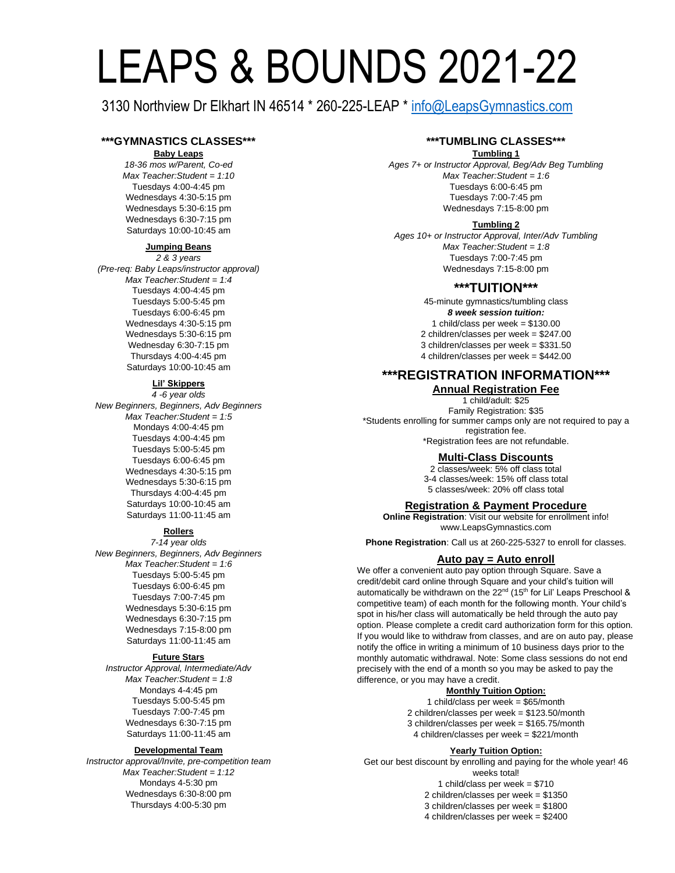# LEAPS & BOUNDS 2021-22

3130 Northview Dr Elkhart IN 46514 \* 260-225-LEAP \* [info@LeapsGymnastics.com](mailto:info@LeapsGymnastics.com)

## **\*\*\*GYMNASTICS CLASSES\*\*\***

#### **Baby Leaps**

*18-36 mos w/Parent, Co-ed Max Teacher:Student = 1:10* Tuesdays 4:00-4:45 pm Wednesdays 4:30-5:15 pm Wednesdays 5:30-6:15 pm Wednesdays 6:30-7:15 pm Saturdays 10:00-10:45 am

## **Jumping Beans**

*2 & 3 years (Pre-req: Baby Leaps/instructor approval) Max Teacher:Student = 1:4* Tuesdays 4:00-4:45 pm Tuesdays 5:00-5:45 pm Tuesdays 6:00-6:45 pm Wednesdays 4:30-5:15 pm Wednesdays 5:30-6:15 pm Wednesday 6:30-7:15 pm Thursdays 4:00-4:45 pm Saturdays 10:00-10:45 am

## **Lil' Skippers**

*4 -6 year olds New Beginners, Beginners, Adv Beginners Max Teacher:Student = 1:5* Mondays 4:00-4:45 pm Tuesdays 4:00-4:45 pm Tuesdays 5:00-5:45 pm Tuesdays 6:00-6:45 pm Wednesdays 4:30-5:15 pm Wednesdays 5:30-6:15 pm Thursdays 4:00-4:45 pm Saturdays 10:00-10:45 am Saturdays 11:00-11:45 am

## **Rollers**

*7-14 year olds New Beginners, Beginners, Adv Beginners Max Teacher:Student = 1:6* Tuesdays 5:00-5:45 pm Tuesdays 6:00-6:45 pm Tuesdays 7:00-7:45 pm Wednesdays 5:30-6:15 pm Wednesdays 6:30-7:15 pm Wednesdays 7:15-8:00 pm Saturdays 11:00-11:45 am

#### **Future Stars**

*Instructor Approval, Intermediate/Adv Max Teacher:Student = 1:8* Mondays 4-4:45 pm Tuesdays 5:00-5:45 pm Tuesdays 7:00-7:45 pm Wednesdays 6:30-7:15 pm Saturdays 11:00-11:45 am

#### **Developmental Team**

*Instructor approval/Invite, pre-competition team Max Teacher:Student = 1:12* Mondays 4-5:30 pm Wednesdays 6:30-8:00 pm Thursdays 4:00-5:30 pm

## **\*\*\*TUMBLING CLASSES\*\*\***

#### **Tumbling 1**

*Ages 7+ or Instructor Approval, Beg/Adv Beg Tumbling Max Teacher:Student = 1:6* Tuesdays 6:00-6:45 pm Tuesdays 7:00-7:45 pm Wednesdays 7:15-8:00 pm

## **Tumbling 2**

*Ages 10+ or Instructor Approval, Inter/Adv Tumbling Max Teacher:Student = 1:8* Tuesdays 7:00-7:45 pm Wednesdays 7:15-8:00 pm

## **\*\*\*TUITION\*\*\***

45-minute gymnastics/tumbling class *8 week session tuition:*  1 child/class per week = \$130.00 2 children/classes per week = \$247.00 3 children/classes per week = \$331.50 4 children/classes per week = \$442.00

## **\*\*\*REGISTRATION INFORMATION\*\*\* Annual Registration Fee**

1 child/adult: \$25 Family Registration: \$35 \*Students enrolling for summer camps only are not required to pay a registration fee. \*Registration fees are not refundable.

## **Multi-Class Discounts**

2 classes/week: 5% off class total 3-4 classes/week: 15% off class total 5 classes/week: 20% off class total

## **Registration & Payment Procedure**

**Online Registration**: Visit our website for enrollment info! www.LeapsGymnastics.com

**Phone Registration**: Call us at 260-225-5327 to enroll for classes.

#### **Auto pay = Auto enroll**

We offer a convenient auto pay option through Square. Save a credit/debit card online through Square and your child's tuition will automatically be withdrawn on the  $22^{nd}$  (15<sup>th</sup> for Lil' Leaps Preschool & competitive team) of each month for the following month. Your child's spot in his/her class will automatically be held through the auto pay option. Please complete a credit card authorization form for this option. If you would like to withdraw from classes, and are on auto pay, please notify the office in writing a minimum of 10 business days prior to the monthly automatic withdrawal. Note: Some class sessions do not end precisely with the end of a month so you may be asked to pay the difference, or you may have a credit.

## **Monthly Tuition Option:**

1 child/class per week = \$65/month 2 children/classes per week = \$123.50/month 3 children/classes per week = \$165.75/month 4 children/classes per week = \$221/month

## **Yearly Tuition Option:**

Get our best discount by enrolling and paying for the whole year! 46 weeks total! 1 child/class per week = \$710 2 children/classes per week = \$1350 3 children/classes per week = \$1800 4 children/classes per week = \$2400